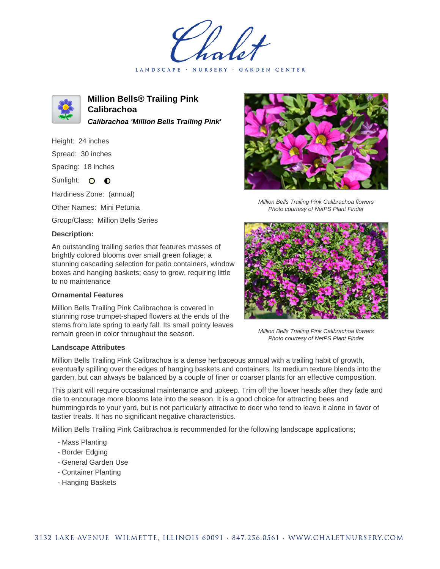LANDSCAPE · NURSERY · GARDEN CENTER



**Million Bells® Trailing Pink Calibrachoa Calibrachoa 'Million Bells Trailing Pink'**

Height: 24 inches Spread: 30 inches Spacing: 18 inches

Sunlight: O **O** 

Hardiness Zone: (annual)

Other Names: Mini Petunia

Group/Class: Million Bells Series

## **Description:**

An outstanding trailing series that features masses of brightly colored blooms over small green foliage; a stunning cascading selection for patio containers, window boxes and hanging baskets; easy to grow, requiring little to no maintenance

## **Ornamental Features**

Million Bells Trailing Pink Calibrachoa is covered in stunning rose trumpet-shaped flowers at the ends of the stems from late spring to early fall. Its small pointy leaves remain green in color throughout the season.

## **Landscape Attributes**

Million Bells Trailing Pink Calibrachoa is a dense herbaceous annual with a trailing habit of growth, eventually spilling over the edges of hanging baskets and containers. Its medium texture blends into the garden, but can always be balanced by a couple of finer or coarser plants for an effective composition.

This plant will require occasional maintenance and upkeep. Trim off the flower heads after they fade and die to encourage more blooms late into the season. It is a good choice for attracting bees and hummingbirds to your yard, but is not particularly attractive to deer who tend to leave it alone in favor of tastier treats. It has no significant negative characteristics.

Million Bells Trailing Pink Calibrachoa is recommended for the following landscape applications;

- Mass Planting
- Border Edging
- General Garden Use
- Container Planting
- Hanging Baskets



Million Bells Trailing Pink Calibrachoa flowers Photo courtesy of NetPS Plant Finder



Million Bells Trailing Pink Calibrachoa flowers Photo courtesy of NetPS Plant Finder